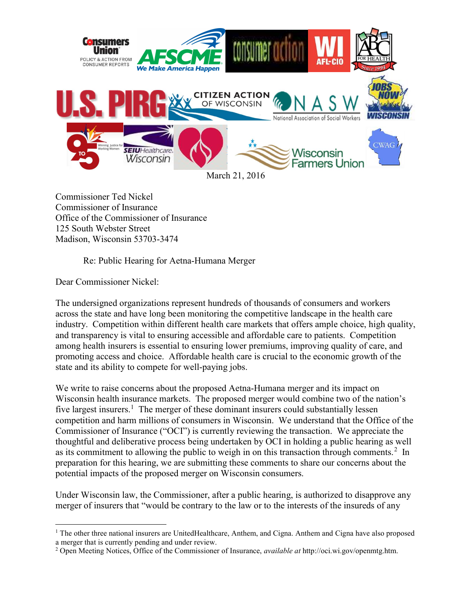

Commissioner Ted Nickel Commissioner of Insurance Office of the Commissioner of Insurance 125 South Webster Street Madison, Wisconsin 53703-3474

Re: Public Hearing for Aetna-Humana Merger

Dear Commissioner Nickel:

The undersigned organizations represent hundreds of thousands of consumers and workers across the state and have long been monitoring the competitive landscape in the health care industry. Competition within different health care markets that offers ample choice, high quality, and transparency is vital to ensuring accessible and affordable care to patients. Competition among health insurers is essential to ensuring lower premiums, improving quality of care, and promoting access and choice. Affordable health care is crucial to the economic growth of the state and its ability to compete for well-paying jobs.

We write to raise concerns about the proposed Aetna-Humana merger and its impact on Wisconsin health insurance markets. The proposed merger would combine two of the nation's five largest insurers.<sup>1</sup> The merger of these dominant insurers could substantially lessen competition and harm millions of consumers in Wisconsin. We understand that the Office of the Commissioner of Insurance ("OCI") is currently reviewing the transaction. We appreciate the thoughtful and deliberative process being undertaken by OCI in holding a public hearing as well as its commitment to allowing the public to weigh in on this transaction through comments.<sup>2</sup> In preparation for this hearing, we are submitting these comments to share our concerns about the potential impacts of the proposed merger on Wisconsin consumers.

Under Wisconsin law, the Commissioner, after a public hearing, is authorized to disapprove any merger of insurers that "would be contrary to the law or to the interests of the insureds of any

 $\overline{a}$ <sup>1</sup> The other three national insurers are UnitedHealthcare, Anthem, and Cigna. Anthem and Cigna have also proposed a merger that is currently pending and under review.

<sup>&</sup>lt;sup>2</sup> Open Meeting Notices, Office of the Commissioner of Insurance, *available at* http://oci.wi.gov/openmtg.htm.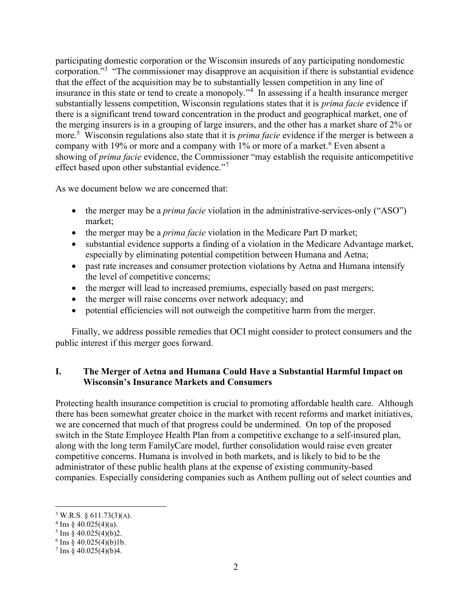participating domestic corporation or the Wisconsin insureds of any participating nondomestic corporation."<sup>3</sup> "The commissioner may disapprove an acquisition if there is substantial evidence that the effect of the acquisition may be to substantially lessen competition in any line of insurance in this state or tend to create a monopoly."<sup>4</sup> In assessing if a health insurance merger substantially lessens competition, Wisconsin regulations states that it is prima facie evidence if there is a significant trend toward concentration in the product and geographical market, one of the merging insurers is in a grouping of large insurers, and the other has a market share of 2% or more.<sup>5</sup> Wisconsin regulations also state that it is *prima facie* evidence if the merger is between a company with 19% or more and a company with 1% or more of a market.<sup>6</sup> Even absent a showing of *prima facie* evidence, the Commissioner "may establish the requisite anticompetitive effect based upon other substantial evidence."<sup>7</sup>

As we document below we are concerned that:

- $\bullet$  the merger may be a *prima facie* violation in the administrative-services-only ("ASO") market;
- the merger may be a *prima facie* violation in the Medicare Part D market;
- substantial evidence supports a finding of a violation in the Medicare Advantage market, especially by eliminating potential competition between Humana and Aetna;
- past rate increases and consumer protection violations by Aetna and Humana intensify the level of competitive concerns;
- the merger will lead to increased premiums, especially based on past mergers;
- the merger will raise concerns over network adequacy; and
- potential efficiencies will not outweigh the competitive harm from the merger.

Finally, we address possible remedies that OCI might consider to protect consumers and the public interest if this merger goes forward.

## I. The Merger of Aetna and Humana Could Have a Substantial Harmful Impact on Wisconsin's Insurance Markets and Consumers

Protecting health insurance competition is crucial to promoting affordable health care. Although there has been somewhat greater choice in the market with recent reforms and market initiatives, we are concerned that much of that progress could be undermined. On top of the proposed switch in the State Employee Health Plan from a competitive exchange to a self-insured plan, along with the long term FamilyCare model, further consolidation would raise even greater competitive concerns. Humana is involved in both markets, and is likely to bid to be the administrator of these public health plans at the expense of existing community-based companies. Especially considering companies such as Anthem pulling out of select counties and

<sup>&</sup>lt;sup>3</sup> W.R.S. § 611.73(3)(A).

<sup>&</sup>lt;sup>4</sup> Ins  $\S$  40.025(4)(a).

 $5 \text{ Ins } \S 40.025(4)(b)2.$ 

 $6 \text{ Ins } § 40.025(4)(b)1b.$ 

 $7 \text{ Ins } \S 40.025(4)(b)4.$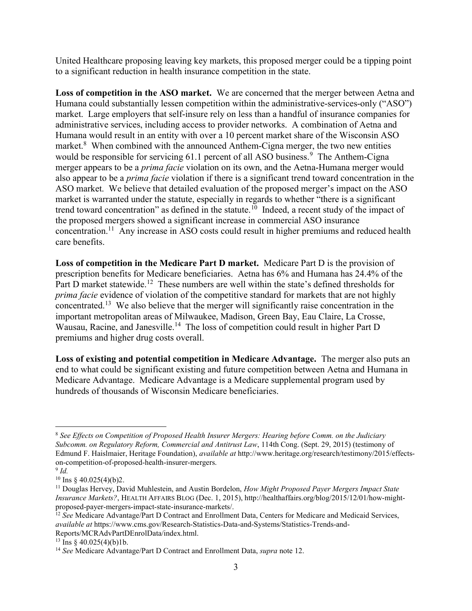United Healthcare proposing leaving key markets, this proposed merger could be a tipping point to a significant reduction in health insurance competition in the state.

Loss of competition in the ASO market. We are concerned that the merger between Aetna and Humana could substantially lessen competition within the administrative-services-only ("ASO") market. Large employers that self-insure rely on less than a handful of insurance companies for administrative services, including access to provider networks. A combination of Aetna and Humana would result in an entity with over a 10 percent market share of the Wisconsin ASO market.<sup>8</sup> When combined with the announced Anthem-Cigna merger, the two new entities would be responsible for servicing 61.1 percent of all ASO business.<sup>9</sup> The Anthem-Cigna merger appears to be a *prima facie* violation on its own, and the Aetna-Humana merger would also appear to be a prima facie violation if there is a significant trend toward concentration in the ASO market. We believe that detailed evaluation of the proposed merger's impact on the ASO market is warranted under the statute, especially in regards to whether "there is a significant trend toward concentration" as defined in the statute.<sup>10</sup> Indeed, a recent study of the impact of the proposed mergers showed a significant increase in commercial ASO insurance concentration.<sup>11</sup> Any increase in ASO costs could result in higher premiums and reduced health care benefits.

Loss of competition in the Medicare Part D market. Medicare Part D is the provision of prescription benefits for Medicare beneficiaries. Aetna has 6% and Humana has 24.4% of the Part D market statewide.<sup>12</sup> These numbers are well within the state's defined thresholds for prima facie evidence of violation of the competitive standard for markets that are not highly concentrated.<sup>13</sup> We also believe that the merger will significantly raise concentration in the important metropolitan areas of Milwaukee, Madison, Green Bay, Eau Claire, La Crosse, Wausau, Racine, and Janesville.<sup>14</sup> The loss of competition could result in higher Part D premiums and higher drug costs overall.

Loss of existing and potential competition in Medicare Advantage. The merger also puts an end to what could be significant existing and future competition between Aetna and Humana in Medicare Advantage. Medicare Advantage is a Medicare supplemental program used by hundreds of thousands of Wisconsin Medicare beneficiaries.

 $8$  See Effects on Competition of Proposed Health Insurer Mergers: Hearing before Comm, on the Judiciary Subcomm. on Regulatory Reform, Commercial and Antitrust Law, 114th Cong. (Sept. 29, 2015) (testimony of Edmund F. Haislmaier, Heritage Foundation), available at http://www.heritage.org/research/testimony/2015/effectson-competition-of-proposed-health-insurer-mergers.

 $9$  Id.

<sup>&</sup>lt;sup>10</sup> Ins § 40.025(4)(b)2.

 $11$  Douglas Hervey, David Muhlestein, and Austin Bordelon, How Might Proposed Payer Mergers Impact State Insurance Markets?, HEALTH AFFAIRS BLOG (Dec. 1, 2015), http://healthaffairs.org/blog/2015/12/01/how-mightproposed-payer-mergers-impact-state-insurance-markets/.

<sup>&</sup>lt;sup>12</sup> See Medicare Advantage/Part D Contract and Enrollment Data, Centers for Medicare and Medicaid Services. available at https://www.cms.gov/Research-Statistics-Data-and-Systems/Statistics-Trends-and-Reports/MCRAdvPartDEnrolData/index.html.

<sup>&</sup>lt;sup>13</sup> Ins  $\frac{6}{9}$  40.025(4)(b)1b.

<sup>&</sup>lt;sup>14</sup> See Medicare Advantage/Part D Contract and Enrollment Data, *supra* note 12.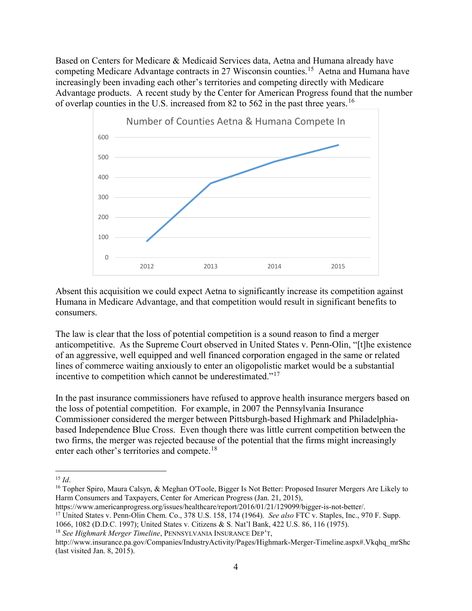Based on Centers for Medicare & Medicaid Services data, Aetna and Humana already have competing Medicare Advantage contracts in 27 Wisconsin counties.<sup>15</sup> Aetna and Humana have increasingly been invading each other's territories and competing directly with Medicare Advantage products. A recent study by the Center for American Progress found that the number of overlap counties in the U.S. increased from 82 to 562 in the past three years.<sup>16</sup>



Absent this acquisition we could expect Aetna to significantly increase its competition against Humana in Medicare Advantage, and that competition would result in significant benefits to consumers.

The law is clear that the loss of potential competition is a sound reason to find a merger anticompetitive. As the Supreme Court observed in United States v. Penn-Olin, "[t]he existence of an aggressive, well equipped and well financed corporation engaged in the same or related lines of commerce waiting anxiously to enter an oligopolistic market would be a substantial incentive to competition which cannot be underestimated."<sup>17</sup>

In the past insurance commissioners have refused to approve health insurance mergers based on the loss of potential competition. For example, in 2007 the Pennsylvania Insurance Commissioner considered the merger between Pittsburgh-based Highmark and Philadelphiabased Independence Blue Cross. Even though there was little current competition between the two firms, the merger was rejected because of the potential that the firms might increasingly enter each other's territories and compete.<sup>18</sup>

 $\overline{a}$ 

https://www.americanprogress.org/issues/healthcare/report/2016/01/21/129099/bigger-is-not-better/.

 $18$  See Highmark Merger Timeline, PENNSYLVANIA INSURANCE DEP'T,

 $15$  *Id.* 

<sup>&</sup>lt;sup>16</sup> Topher Spiro, Maura Calsyn, & Meghan O'Toole, Bigger Is Not Better: Proposed Insurer Mergers Are Likely to Harm Consumers and Taxpayers, Center for American Progress (Jan. 21, 2015),

<sup>&</sup>lt;sup>17</sup> United States v. Penn-Olin Chem. Co., 378 U.S. 158, 174 (1964). See also FTC v. Staples, Inc., 970 F. Supp.

<sup>1066, 1082 (</sup>D.D.C. 1997); United States v. Citizens & S. Nat'l Bank, 422 U.S. 86, 116 (1975).

http://www.insurance.pa.gov/Companies/IndustryActivity/Pages/Highmark-Merger-Timeline.aspx#.Vkqhq\_mrShc (last visited Jan. 8, 2015).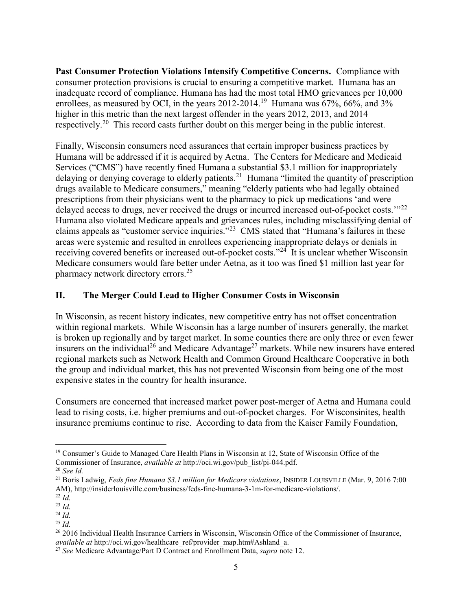Past Consumer Protection Violations Intensify Competitive Concerns. Compliance with consumer protection provisions is crucial to ensuring a competitive market. Humana has an inadequate record of compliance. Humana has had the most total HMO grievances per 10,000 enrollees, as measured by OCI, in the years 2012-2014.<sup>19</sup> Humana was  $67\%$ ,  $66\%$ , and  $3\%$ higher in this metric than the next largest offender in the years 2012, 2013, and 2014 respectively.<sup>20</sup> This record casts further doubt on this merger being in the public interest.

Finally, Wisconsin consumers need assurances that certain improper business practices by Humana will be addressed if it is acquired by Aetna. The Centers for Medicare and Medicaid Services ("CMS") have recently fined Humana a substantial \$3.1 million for inappropriately delaying or denying coverage to elderly patients.<sup>21</sup> Humana "limited the quantity of prescription drugs available to Medicare consumers," meaning "elderly patients who had legally obtained prescriptions from their physicians went to the pharmacy to pick up medications 'and were delayed access to drugs, never received the drugs or incurred increased out-of-pocket costs."<sup>22</sup> Humana also violated Medicare appeals and grievances rules, including misclassifying denial of claims appeals as "customer service inquiries."<sup>23</sup> CMS stated that "Humana's failures in these areas were systemic and resulted in enrollees experiencing inappropriate delays or denials in receiving covered benefits or increased out-of-pocket costs."<sup>24</sup> It is unclear whether Wisconsin Medicare consumers would fare better under Aetna, as it too was fined \$1 million last year for pharmacy network directory errors.<sup>25</sup>

### II. The Merger Could Lead to Higher Consumer Costs in Wisconsin

In Wisconsin, as recent history indicates, new competitive entry has not offset concentration within regional markets. While Wisconsin has a large number of insurers generally, the market is broken up regionally and by target market. In some counties there are only three or even fewer insurers on the individual<sup>26</sup> and Medicare Advantage<sup>27</sup> markets. While new insurers have entered regional markets such as Network Health and Common Ground Healthcare Cooperative in both the group and individual market, this has not prevented Wisconsin from being one of the most expensive states in the country for health insurance.

Consumers are concerned that increased market power post-merger of Aetna and Humana could lead to rising costs, i.e. higher premiums and out-of-pocket charges. For Wisconsinites, health insurance premiums continue to rise. According to data from the Kaiser Family Foundation,

<sup>&</sup>lt;sup>19</sup> Consumer's Guide to Managed Care Health Plans in Wisconsin at 12, State of Wisconsin Office of the Commissioner of Insurance, available at http://oci.wi.gov/pub\_list/pi-044.pdf.

<sup>20</sup> See Id.

<sup>&</sup>lt;sup>21</sup> Boris Ladwig, Feds fine Humana \$3.1 million for Medicare violations, INSIDER LOUISVILLE (Mar. 9, 2016 7:00 AM), http://insiderlouisville.com/business/feds-fine-humana-3-1m-for-medicare-violations/.

 $^{22}$  *Id.* 

<sup>23</sup> Id.

 $^{24}$  *Id.*  $^{25}$  *Id.* 

<sup>26</sup> 2016 Individual Health Insurance Carriers in Wisconsin, Wisconsin Office of the Commissioner of Insurance, available at http://oci.wi.gov/healthcare\_ref/provider\_map.htm#Ashland\_a.

<sup>&</sup>lt;sup>27</sup> See Medicare Advantage/Part D Contract and Enrollment Data, *supra* note 12.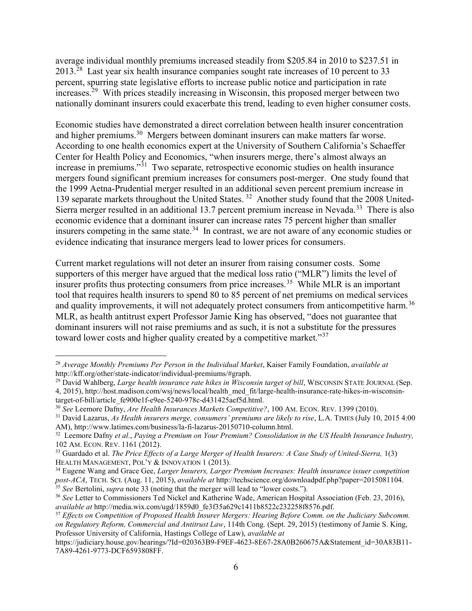average individual monthly premiums increased steadily from \$205.84 in 2010 to \$237.51 in  $2013$ <sup>28</sup> Last year six health insurance companies sought rate increases of 10 percent to 33 percent, spurring state legislative efforts to increase public notice and participation in rate increases.<sup>29</sup> With prices steadily increasing in Wisconsin, this proposed merger between two nationally dominant insurers could exacerbate this trend, leading to even higher consumer costs.

Economic studies have demonstrated a direct correlation between health insurer concentration and higher premiums.<sup>30</sup> Mergers between dominant insurers can make matters far worse. According to one health economics expert at the University of Southern California's Schaeffer Center for Health Policy and Economics, "when insurers merge, there's almost always an increase in premiums."<sup>31</sup> Two separate, retrospective economic studies on health insurance mergers found significant premium increases for consumers post-merger. One study found that the 1999 Aetna-Prudential merger resulted in an additional seven percent premium increase in 139 separate markets throughout the United States.<sup>32</sup> Another study found that the 2008 United-Sierra merger resulted in an additional 13.7 percent premium increase in Nevada.<sup>33</sup> There is also economic evidence that a dominant insurer can increase rates 75 percent higher than smaller insurers competing in the same state.<sup>34</sup> In contrast, we are not aware of any economic studies or evidence indicating that insurance mergers lead to lower prices for consumers.

Current market regulations will not deter an insurer from raising consumer costs. Some supporters of this merger have argued that the medical loss ratio ("MLR") limits the level of insurer profits thus protecting consumers from price increases.<sup>35</sup> While MLR is an important tool that requires health insurers to spend 80 to 85 percent of net premiums on medical services and quality improvements, it will not adequately protect consumers from anticompetitive harm.<sup>36</sup> MLR, as health antitrust expert Professor Jamie King has observed, "does not guarantee that dominant insurers will not raise premiums and as such, it is not a substitute for the pressures toward lower costs and higher quality created by a competitive market."<sup>37</sup>

 $28$  Average Monthly Premiums Per Person in the Individual Market, Kaiser Family Foundation, available at http://kff.org/other/state-indicator/individual-premiums/#graph.

 $^{29}$  David Wahlberg, Large health insurance rate hikes in Wisconsin target of bill, WISCONSIN STATE JOURNAL (Sep. 4, 2015), http://host.madison.com/wsj/news/local/health\_med\_fit/large-health-insurance-rate-hikes-in-wisconsintarget-of-bill/article\_fe900e1f-e9ee-5240-978c-d431425aef5d.html.

<sup>&</sup>lt;sup>30</sup> See Leemore Dafny, Are Health Insurances Markets Competitive?, 100 AM. ECON. REV. 1399 (2010).

 $31$  David Lazarus, As Health insurers merge, consumers' premiums are likely to rise, L.A. TIMES (July 10, 2015 4:00) AM), http://www.latimes.com/business/la-fi-lazarus-20150710-column.html.

 $32$  Leemore Dafny et al., Paying a Premium on Your Premium? Consolidation in the US Health Insurance Industry, 102 AM. ECON. REV. 1161 (2012).

 $33$  Guardado et al. The Price Effects of a Large Merger of Health Insurers: A Case Study of United-Sierra,  $1(3)$ HEALTH MANAGEMENT, POL'Y & INNOVATION 1 (2013).

<sup>&</sup>lt;sup>34</sup> Eugene Wang and Grace Gee, Larger Insurers, Larger Premium Increases: Health insurance issuer competition post-ACA, TECH. SCI. (Aug. 11, 2015), available at http://techscience.org/downloadpdf.php?paper=2015081104.  $35$  See Bertolini, supra note 33 (noting that the merger will lead to "lower costs.").

<sup>&</sup>lt;sup>36</sup> See Letter to Commissioners Ted Nickel and Katherine Wade, American Hospital Association (Feb. 23, 2016), available at http://media.wix.com/ugd/1859d0\_fe3f35a629c1411b8522c232258f8576.pdf.

<sup>&</sup>lt;sup>37</sup> Effects on Competition of Proposed Health Insurer Mergers: Hearing Before Comm. on the Judiciary Subcomm. on Regulatory Reform, Commercial and Antitrust Law, 114th Cong. (Sept. 29, 2015) (testimony of Jamie S. King, Professor University of California, Hastings College of Law), available at

https://judiciary.house.gov/hearings/?Id=020363B9-F9EF-4623-8E67-28A0B260675A&Statement\_id=30A83B11-7A89-4261-9773-DCF6593808FF.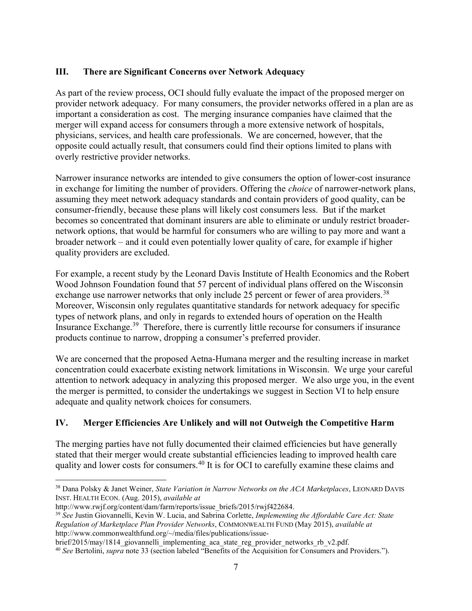## III. There are Significant Concerns over Network Adequacy

As part of the review process, OCI should fully evaluate the impact of the proposed merger on provider network adequacy. For many consumers, the provider networks offered in a plan are as important a consideration as cost. The merging insurance companies have claimed that the merger will expand access for consumers through a more extensive network of hospitals, physicians, services, and health care professionals. We are concerned, however, that the opposite could actually result, that consumers could find their options limited to plans with overly restrictive provider networks.

Narrower insurance networks are intended to give consumers the option of lower-cost insurance in exchange for limiting the number of providers. Offering the choice of narrower-network plans, assuming they meet network adequacy standards and contain providers of good quality, can be consumer-friendly, because these plans will likely cost consumers less. But if the market becomes so concentrated that dominant insurers are able to eliminate or unduly restrict broadernetwork options, that would be harmful for consumers who are willing to pay more and want a broader network – and it could even potentially lower quality of care, for example if higher quality providers are excluded.

For example, a recent study by the Leonard Davis Institute of Health Economics and the Robert Wood Johnson Foundation found that 57 percent of individual plans offered on the Wisconsin exchange use narrower networks that only include 25 percent or fewer of area providers.<sup>38</sup> Moreover, Wisconsin only regulates quantitative standards for network adequacy for specific types of network plans, and only in regards to extended hours of operation on the Health Insurance Exchange.<sup>39</sup> Therefore, there is currently little recourse for consumers if insurance products continue to narrow, dropping a consumer's preferred provider.

We are concerned that the proposed Aetna-Humana merger and the resulting increase in market concentration could exacerbate existing network limitations in Wisconsin. We urge your careful attention to network adequacy in analyzing this proposed merger. We also urge you, in the event the merger is permitted, to consider the undertakings we suggest in Section VI to help ensure adequate and quality network choices for consumers.

# IV. Merger Efficiencies Are Unlikely and will not Outweigh the Competitive Harm

The merging parties have not fully documented their claimed efficiencies but have generally stated that their merger would create substantial efficiencies leading to improved health care quality and lower costs for consumers.<sup>40</sup> It is for OCI to carefully examine these claims and

 $\overline{a}$ <sup>38</sup> Dana Polsky & Janet Weiner, State Variation in Narrow Networks on the ACA Marketplaces, LEONARD DAVIS INST. HEALTH ECON. (Aug. 2015), available at

http://www.rwjf.org/content/dam/farm/reports/issue\_briefs/2015/rwjf422684.

 $39$  See Justin Giovannelli, Kevin W. Lucia, and Sabrina Corlette, *Implementing the Affordable Care Act: State* Regulation of Marketplace Plan Provider Networks, COMMONWEALTH FUND (May 2015), available at http://www.commonwealthfund.org/~/media/files/publications/issue-

brief/2015/may/1814\_giovannelli\_implementing\_aca\_state\_reg\_provider\_networks\_rb\_v2.pdf.

<sup>&</sup>lt;sup>40</sup> See Bertolini, supra note 33 (section labeled "Benefits of the Acquisition for Consumers and Providers.").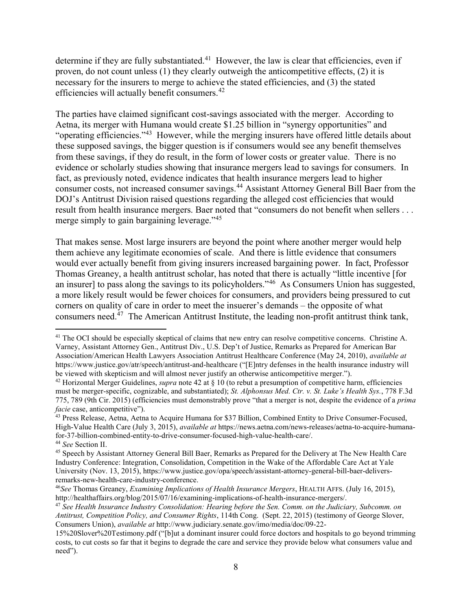determine if they are fully substantiated.<sup>41</sup> However, the law is clear that efficiencies, even if proven, do not count unless (1) they clearly outweigh the anticompetitive effects, (2) it is necessary for the insurers to merge to achieve the stated efficiencies, and (3) the stated efficiencies will actually benefit consumers.<sup>42</sup>

The parties have claimed significant cost-savings associated with the merger. According to Aetna, its merger with Humana would create \$1.25 billion in "synergy opportunities" and "operating efficiencies."<sup>43</sup> However, while the merging insurers have offered little details about these supposed savings, the bigger question is if consumers would see any benefit themselves from these savings, if they do result, in the form of lower costs or greater value. There is no evidence or scholarly studies showing that insurance mergers lead to savings for consumers. In fact, as previously noted, evidence indicates that health insurance mergers lead to higher consumer costs, not increased consumer savings.<sup>44</sup> Assistant Attorney General Bill Baer from the DOJ's Antitrust Division raised questions regarding the alleged cost efficiencies that would result from health insurance mergers. Baer noted that "consumers do not benefit when sellers . . . merge simply to gain bargaining leverage."<sup>45</sup>

That makes sense. Most large insurers are beyond the point where another merger would help them achieve any legitimate economies of scale. And there is little evidence that consumers would ever actually benefit from giving insurers increased bargaining power. In fact, Professor Thomas Greaney, a health antitrust scholar, has noted that there is actually "little incentive [for an insurer] to pass along the savings to its policyholders."<sup>46</sup> As Consumers Union has suggested, a more likely result would be fewer choices for consumers, and providers being pressured to cut corners on quality of care in order to meet the insuerer's demands – the opposite of what consumers need.<sup>47</sup> The American Antitrust Institute, the leading non-profit antitrust think tank,

<sup>&</sup>lt;sup>41</sup> The OCI should be especially skeptical of claims that new entry can resolve competitive concerns. Christine A. Varney, Assistant Attorney Gen., Antitrust Div., U.S. Dep't of Justice, Remarks as Prepared for American Bar Association/American Health Lawyers Association Antitrust Healthcare Conference (May 24, 2010), available at https://www.justice.gov/atr/speech/antitrust-and-healthcare ("[E]ntry defenses in the health insurance industry will be viewed with skepticism and will almost never justify an otherwise anticompetitive merger.").

<sup>&</sup>lt;sup>42</sup> Horizontal Merger Guidelines, *supra* note 42 at  $\S$  10 (to rebut a presumption of competitive harm, efficiencies must be merger-specific, cognizable, and substantiated); St. Alphonsus Med. Ctr. v. St. Luke's Health Sys., 778 F.3d 775, 789 (9th Cir. 2015) (efficiencies must demonstrably prove "that a merger is not, despite the evidence of a prima facie case, anticompetitive").

<sup>&</sup>lt;sup>43</sup> Press Release, Aetna, Aetna to Acquire Humana for \$37 Billion, Combined Entity to Drive Consumer-Focused, High-Value Health Care (July 3, 2015), available at https://news.aetna.com/news-releases/aetna-to-acquire-humanafor-37-billion-combined-entity-to-drive-consumer-focused-high-value-health-care/. <sup>44</sup> See Section II.

<sup>45</sup> Speech by Assistant Attorney General Bill Baer, Remarks as Prepared for the Delivery at The New Health Care Industry Conference: Integration, Consolidation, Competition in the Wake of the Affordable Care Act at Yale University (Nov. 13, 2015), https://www.justice.gov/opa/speech/assistant-attorney-general-bill-baer-deliversremarks-new-health-care-industry-conference.

 $^{46}$ See Thomas Greaney, *Examining Implications of Health Insurance Mergers*, HEALTH AFFS. (July 16, 2015), http://healthaffairs.org/blog/2015/07/16/examining-implications-of-health-insurance-mergers/.

<sup>47</sup> See Health Insurance Industry Consolidation: Hearing before the Sen. Comm. on the Judiciary, Subcomm. on Antitrust, Competition Policy, and Consumer Rights, 114th Cong. (Sept. 22, 2015) (testimony of George Slover, Consumers Union), available at http://www.judiciary.senate.gov/imo/media/doc/09-22-

<sup>15%20</sup>Slover%20Testimony.pdf ("[b]ut a dominant insurer could force doctors and hospitals to go beyond trimming costs, to cut costs so far that it begins to degrade the care and service they provide below what consumers value and need").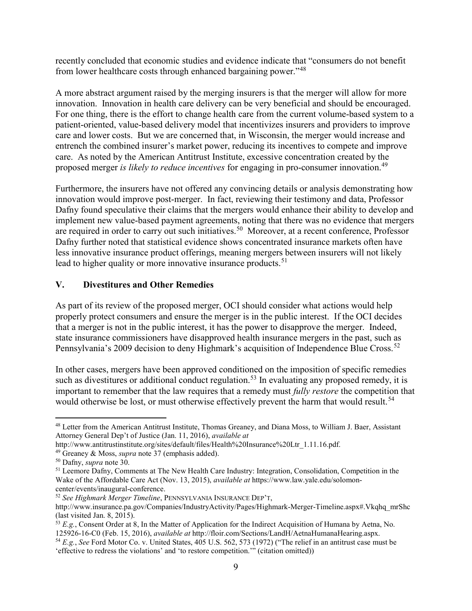recently concluded that economic studies and evidence indicate that "consumers do not benefit from lower healthcare costs through enhanced bargaining power."<sup>48</sup>

A more abstract argument raised by the merging insurers is that the merger will allow for more innovation. Innovation in health care delivery can be very beneficial and should be encouraged. For one thing, there is the effort to change health care from the current volume-based system to a patient-oriented, value-based delivery model that incentivizes insurers and providers to improve care and lower costs. But we are concerned that, in Wisconsin, the merger would increase and entrench the combined insurer's market power, reducing its incentives to compete and improve care. As noted by the American Antitrust Institute, excessive concentration created by the proposed merger is likely to reduce incentives for engaging in pro-consumer innovation.<sup>49</sup>

Furthermore, the insurers have not offered any convincing details or analysis demonstrating how innovation would improve post-merger. In fact, reviewing their testimony and data, Professor Dafny found speculative their claims that the mergers would enhance their ability to develop and implement new value-based payment agreements, noting that there was no evidence that mergers are required in order to carry out such initiatives.<sup>50</sup> Moreover, at a recent conference, Professor Dafny further noted that statistical evidence shows concentrated insurance markets often have less innovative insurance product offerings, meaning mergers between insurers will not likely lead to higher quality or more innovative insurance products.<sup>51</sup>

## V. Divestitures and Other Remedies

As part of its review of the proposed merger, OCI should consider what actions would help properly protect consumers and ensure the merger is in the public interest. If the OCI decides that a merger is not in the public interest, it has the power to disapprove the merger. Indeed, state insurance commissioners have disapproved health insurance mergers in the past, such as Pennsylvania's 2009 decision to deny Highmark's acquisition of Independence Blue Cross.<sup>52</sup>

In other cases, mergers have been approved conditioned on the imposition of specific remedies such as divestitures or additional conduct regulation.<sup>53</sup> In evaluating any proposed remedy, it is important to remember that the law requires that a remedy must *fully restore* the competition that would otherwise be lost, or must otherwise effectively prevent the harm that would result.<sup>54</sup>

<sup>48</sup> Letter from the American Antitrust Institute, Thomas Greaney, and Diana Moss, to William J. Baer, Assistant Attorney General Dep't of Justice (Jan. 11, 2016), available at

http://www.antitrustinstitute.org/sites/default/files/Health%20Insurance%20Ltr\_1.11.16.pdf.

 $49$  Greaney & Moss, *supra* note 37 (emphasis added).

<sup>&</sup>lt;sup>50</sup> Dafny, *supra* note 30.

<sup>&</sup>lt;sup>51</sup> Leemore Dafny, Comments at The New Health Care Industry: Integration, Consolidation, Competition in the Wake of the Affordable Care Act (Nov. 13, 2015), *available at* https://www.law.yale.edu/solomoncenter/events/inaugural-conference.

<sup>52</sup> See Highmark Merger Timeline, PENNSYLVANIA INSURANCE DEP'T,

http://www.insurance.pa.gov/Companies/IndustryActivity/Pages/Highmark-Merger-Timeline.aspx#.Vkqhq\_mrShc (last visited Jan. 8, 2015).

 $53 E.g.,$  Consent Order at 8, In the Matter of Application for the Indirect Acquisition of Humana by Aetna, No. 125926-16-C0 (Feb. 15, 2016), available at http://floir.com/Sections/LandH/AetnaHumanaHearing.aspx.

 $54 E.g.,$  See Ford Motor Co. v. United States, 405 U.S. 562, 573 (1972) ("The relief in an antitrust case must be 'effective to redress the violations' and 'to restore competition.'" (citation omitted))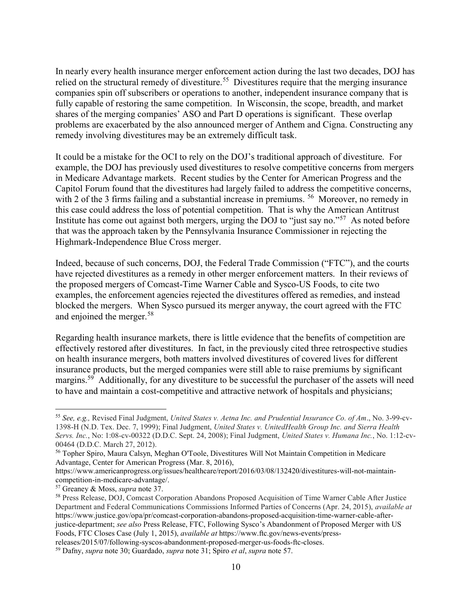In nearly every health insurance merger enforcement action during the last two decades, DOJ has relied on the structural remedy of divestiture.<sup>55</sup> Divestitures require that the merging insurance companies spin off subscribers or operations to another, independent insurance company that is fully capable of restoring the same competition. In Wisconsin, the scope, breadth, and market shares of the merging companies' ASO and Part D operations is significant. These overlap problems are exacerbated by the also announced merger of Anthem and Cigna. Constructing any remedy involving divestitures may be an extremely difficult task.

It could be a mistake for the OCI to rely on the DOJ's traditional approach of divestiture. For example, the DOJ has previously used divestitures to resolve competitive concerns from mergers in Medicare Advantage markets. Recent studies by the Center for American Progress and the Capitol Forum found that the divestitures had largely failed to address the competitive concerns, with 2 of the 3 firms failing and a substantial increase in premiums. <sup>56</sup> Moreover, no remedy in this case could address the loss of potential competition. That is why the American Antitrust Institute has come out against both mergers, urging the DOJ to "just say no."<sup>57</sup> As noted before that was the approach taken by the Pennsylvania Insurance Commissioner in rejecting the Highmark-Independence Blue Cross merger.

Indeed, because of such concerns, DOJ, the Federal Trade Commission ("FTC"), and the courts have rejected divestitures as a remedy in other merger enforcement matters. In their reviews of the proposed mergers of Comcast-Time Warner Cable and Sysco-US Foods, to cite two examples, the enforcement agencies rejected the divestitures offered as remedies, and instead blocked the mergers. When Sysco pursued its merger anyway, the court agreed with the FTC and enjoined the merger.<sup>58</sup>

Regarding health insurance markets, there is little evidence that the benefits of competition are effectively restored after divestitures. In fact, in the previously cited three retrospective studies on health insurance mergers, both matters involved divestitures of covered lives for different insurance products, but the merged companies were still able to raise premiums by significant margins.<sup>59</sup> Additionally, for any divestiture to be successful the purchaser of the assets will need to have and maintain a cost-competitive and attractive network of hospitals and physicians;

<sup>55</sup> See, e.g., Revised Final Judgment, United States v. Aetna Inc. and Prudential Insurance Co. of Am., No. 3-99-cv-1398-H (N.D. Tex. Dec. 7, 1999); Final Judgment, United States v. UnitedHealth Group Inc. and Sierra Health Servs. Inc., No: 1:08-cv-00322 (D.D.C. Sept. 24, 2008); Final Judgment, United States v. Humana Inc., No. 1:12-cv-00464 (D.D.C. March 27, 2012).

<sup>56</sup> Topher Spiro, Maura Calsyn, Meghan O'Toole, Divestitures Will Not Maintain Competition in Medicare Advantage, Center for American Progress (Mar. 8, 2016),

https://www.americanprogress.org/issues/healthcare/report/2016/03/08/132420/divestitures-will-not-maintaincompetition-in-medicare-advantage/.

<sup>57</sup> Greaney & Moss, supra note 37.

<sup>58</sup> Press Release, DOJ, Comcast Corporation Abandons Proposed Acquisition of Time Warner Cable After Justice Department and Federal Communications Commissions Informed Parties of Concerns (Apr. 24, 2015), available at https://www.justice.gov/opa/pr/comcast-corporation-abandons-proposed-acquisition-time-warner-cable-afterjustice-department; see also Press Release, FTC, Following Sysco's Abandonment of Proposed Merger with US Foods, FTC Closes Case (July 1, 2015), available at https://www.ftc.gov/news-events/pressreleases/2015/07/following-syscos-abandonment-proposed-merger-us-foods-ftc-closes.

<sup>&</sup>lt;sup>59</sup> Dafny, *supra* note 30; Guardado, *supra* note 31; Spiro *et al*, *supra* note 57.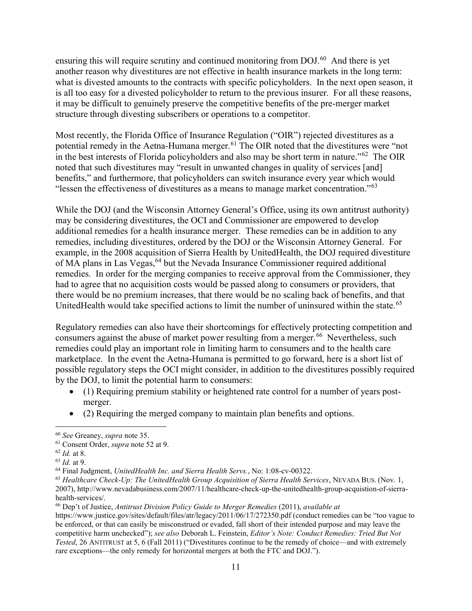ensuring this will require scrutiny and continued monitoring from DOJ.<sup>60</sup> And there is yet another reason why divestitures are not effective in health insurance markets in the long term: what is divested amounts to the contracts with specific policyholders. In the next open season, it is all too easy for a divested policyholder to return to the previous insurer. For all these reasons, it may be difficult to genuinely preserve the competitive benefits of the pre-merger market structure through divesting subscribers or operations to a competitor.

Most recently, the Florida Office of Insurance Regulation ("OIR") rejected divestitures as a potential remedy in the Aetna-Humana merger.<sup>61</sup> The OIR noted that the divestitures were "not in the best interests of Florida policyholders and also may be short term in nature."<sup>62</sup> The OIR noted that such divestitures may "result in unwanted changes in quality of services [and] benefits," and furthermore, that policyholders can switch insurance every year which would "lessen the effectiveness of divestitures as a means to manage market concentration." $63$ 

While the DOJ (and the Wisconsin Attorney General's Office, using its own antitrust authority) may be considering divestitures, the OCI and Commissioner are empowered to develop additional remedies for a health insurance merger. These remedies can be in addition to any remedies, including divestitures, ordered by the DOJ or the Wisconsin Attorney General. For example, in the 2008 acquisition of Sierra Health by UnitedHealth, the DOJ required divestiture of MA plans in Las Vegas, <sup>64</sup> but the Nevada Insurance Commissioner required additional remedies. In order for the merging companies to receive approval from the Commissioner, they had to agree that no acquisition costs would be passed along to consumers or providers, that there would be no premium increases, that there would be no scaling back of benefits, and that UnitedHealth would take specified actions to limit the number of uninsured within the state.<sup>65</sup>

Regulatory remedies can also have their shortcomings for effectively protecting competition and consumers against the abuse of market power resulting from a merger.<sup>66</sup> Nevertheless, such remedies could play an important role in limiting harm to consumers and to the health care marketplace. In the event the Aetna-Humana is permitted to go forward, here is a short list of possible regulatory steps the OCI might consider, in addition to the divestitures possibly required by the DOJ, to limit the potential harm to consumers:

- (1) Requiring premium stability or heightened rate control for a number of years postmerger.
- (2) Requiring the merged company to maintain plan benefits and options.

<sup>60</sup> See Greaney, supra note 35.

<sup>61</sup> Consent Order, supra note 52 at 9.

 $62$  *Id.* at 8.

 $63$  *Id.* at 9.

<sup>&</sup>lt;sup>64</sup> Final Judgment, UnitedHealth Inc. and Sierra Health Servs., No: 1:08-cv-00322.

<sup>&</sup>lt;sup>65</sup> Healthcare Check-Up: The UnitedHealth Group Acquisition of Sierra Health Services, NEVADA BUS. (Nov. 1, 2007), http://www.nevadabusiness.com/2007/11/healthcare-check-up-the-unitedhealth-group-acquistion-of-sierrahealth-services/.

 $66$  Dep't of Justice, Antitrust Division Policy Guide to Merger Remedies (2011), available at

https://www.justice.gov/sites/default/files/atr/legacy/2011/06/17/272350.pdf (conduct remedies can be "too vague to be enforced, or that can easily be misconstrued or evaded, fall short of their intended purpose and may leave the competitive harm unchecked"); see also Deborah L. Feinstein, Editor's Note: Conduct Remedies: Tried But Not Tested, 26 ANTITRUST at 5, 6 (Fall 2011) ("Divestitures continue to be the remedy of choice—and with extremely rare exceptions—the only remedy for horizontal mergers at both the FTC and DOJ.").